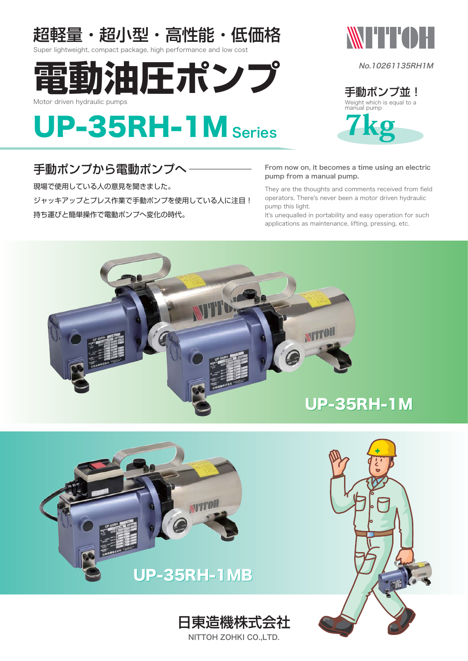

Super lightweight, compact package, high performance and low cost





No.10261135RH1M

Weight which is equal to a manual pump 手動ポンプ並!



### 手動ポンプから雷動ポンプへ

現場で使用している人の意見を聞きました。 ─ ジャッキアップとプレス作業で手動ポンプを使用している人に注目! 持ち運びと簡単操作で電動ポンプへ変化の時代。

#### From now on, it becomes a time using an electric pump from a manual pump.

They are the thoughts and comments received from field operators. There's never been a motor driven hydraulic pump this light.

It's unequalled in portability and easy operation for such applications as maintenance, lifting, pressing, etc.





NITTOH ZOHKI CO.,LTD.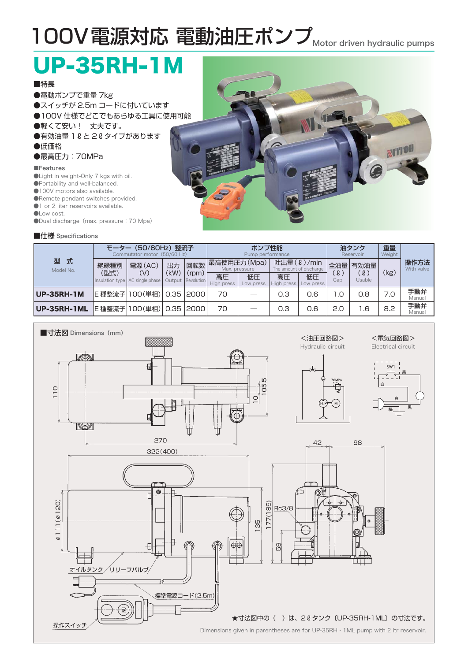# 100V電源対応 電動油圧ポンプ Motor driven hydraulic pumps

# UP-35RH-1M

### ■特長

●電動ポンプで重量 7kg **●スイッチが 2.5m コードに付いています** ●100V 仕様でどこでもあらゆる工具に使用可能 ●軽くて安い! 丈夫です。 ●有効油量 1 2 と 2 2 タイプがあります ●低価格

### ●最高圧力:70MPa

#### ■Features

- ●Light in weight-Only 7 kgs with oil.
- ●Portability and well-balanced.
- ●100V motors also available.
- ●Remote pendant switches provided.
- $\bigcirc$ 1 or 2 liter reservoirs available.
- ●Low cost.
- ●Dual discharge(max. pressure:70 Mpa)

### ■仕様 Specifications



| 型<br>式<br>Model No. | (50/60Hz) 整流子<br>Commutator motor (50/60 Hz) |                                          |            |                                   | ポンプ性能<br>Pump performance    |                 |                                       |                 | 油タンク<br>Reservoir              |                    | 重量<br>Weight |                    |
|---------------------|----------------------------------------------|------------------------------------------|------------|-----------------------------------|------------------------------|-----------------|---------------------------------------|-----------------|--------------------------------|--------------------|--------------|--------------------|
|                     | 絶縁種別                                         | 電源(AC)                                   | 出力<br>(kW) | 回転数<br>(rpm)<br>Output Revolution | 最高使用圧力(Mpa)<br>Max. pressure |                 | 吐出量(2)/min<br>The amount of discharge |                 |                                | 全油量 有効油量           | (kg)         | 操作方法<br>With valve |
|                     | (型式)                                         | (V)<br>Insulation type   AC single phase |            |                                   | 高圧<br>High press             | 低圧<br>Low press | 高圧<br>High press                      | 低圧<br>Low press | $\lbrack \ell \rbrack$<br>Cap. | $\ell$ )<br>Usable |              |                    |
| <b>UP-35RH-1M</b>   |                                              | E種整流子 100(単相)  0.35   2000               |            |                                   | 70                           |                 | 0.3                                   | 0.6             | 1.0                            | 0.8                | 7.0          | 手動弁<br>Manual      |
| <b>UP-35RH-1ML</b>  |                                              | E 種整流子 100 (単相)                          |            | 0.35 2000                         | 70                           | _               | 0.3                                   | 0.6             | 2.0                            | 1.6                | 8.2          | 手動弁<br>Manual      |

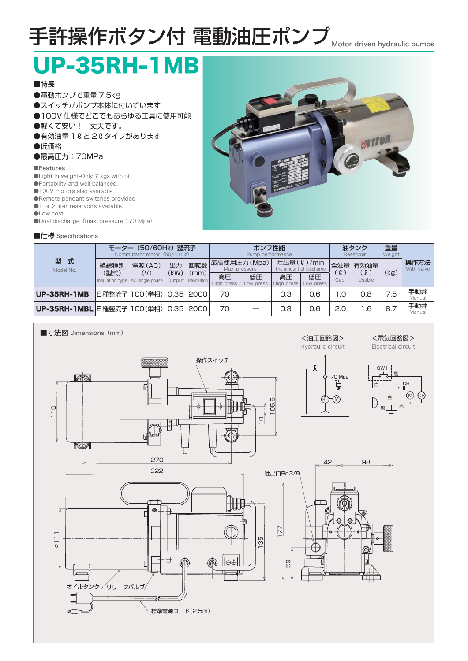# 手許操作ボタン付 電動油圧ポンプ Motor driven hydraulic pumps

# UP-35RH-1MB

### ■特長

●電動ポンプで重量 7.5kg ●スイッチがポンプ本体に付いています ●100V 仕様でどこでもあらゆる工具に使用可能 ●軽くて安い! 丈夫です。 ●有効油量 1 2 と 2 2 タイプがあります ●低価格

### ●最高圧力:70MPa

#### ■Features

- ●Light in weight-Only 7 kgs with oil.
- ●Portability and well-balanced.
- ●100V motors also available.
- ●Remote pendant switches provided.
- $\bigcirc$ 1 or 2 liter reservoirs available.
- ●Low cost.
- ●Dual discharge (max. pressure: 70 Mpa)

### ■仕様 Specifications



| 型 式<br>Model No.            | (50/60Hz) 整流子<br>Commutator motor (50/60 Hz)    |               |            |                                   | ポンプ性能<br>Pump performance    |                 |                                       |                 | 油タンク<br>Reservoir |                                  | 重量<br>Weight |                    |
|-----------------------------|-------------------------------------------------|---------------|------------|-----------------------------------|------------------------------|-----------------|---------------------------------------|-----------------|-------------------|----------------------------------|--------------|--------------------|
|                             | 絶縁種別<br>(型式)<br>Insulation type AC single phase | 電源(AC)<br>(V) | 出力<br>(kW) | 回転数<br>(rpm)<br>Output Revolution | 最高使用圧力(Mpa)<br>Max. pressure |                 | 吐出量(2)/min<br>The amount of discharge |                 | 全油量               | 有効油量                             |              | 操作方法<br>With valve |
|                             |                                                 |               |            |                                   | 高圧<br>High press             | 低圧<br>Low press | 高圧<br>High press                      | 低圧<br>Low press | $\ell$ )<br>Cap.  | $\lbrack \ell \rbrack$<br>Usable | (kg)         |                    |
| <b>UP-35RH-1MB</b>          |                                                 | E種整流子  00(単相) | 0.35       | 2000                              | 70                           |                 | 0.3                                   | 0.6             | l .O              | 0.8                              | 7.5          | 手動弁<br>Manual      |
| UP-35RH-1MBL E 種整流子 100(単相) |                                                 |               | 0.35       | 2000                              | 70                           | _               | 0.3                                   | 0.6             | 2.0               | .6                               | 8.7          | 手動弁<br>Manual      |

#### ■寸法図 Dimensions (mm) <油圧回路図> <電気回路図> Hydraulic circuit Electrical circuit 操作スイッチ SW1 VA 黒 70 Mpa<br>一頁 CR 븮 白  $\widehat{\mathbb{M}}$ M) (CH Ю 白  $\phi$  $\overline{5}$  $\phi$  $\frac{1}{2}$ 黒土 赤  $\overline{\mathsf{C}}$  $\overline{\widehat{\odot}}$ v 270 42 98 322 吐出口Rc3/8 ┯┯  $\circledcirc$  $\overline{1}$ 177  $\varnothing$  11 95 59  $\phi \phi$ f ľТ オイルタンク/リリーフバルブ  $\neg$ 標準電源コード(2.5m) €